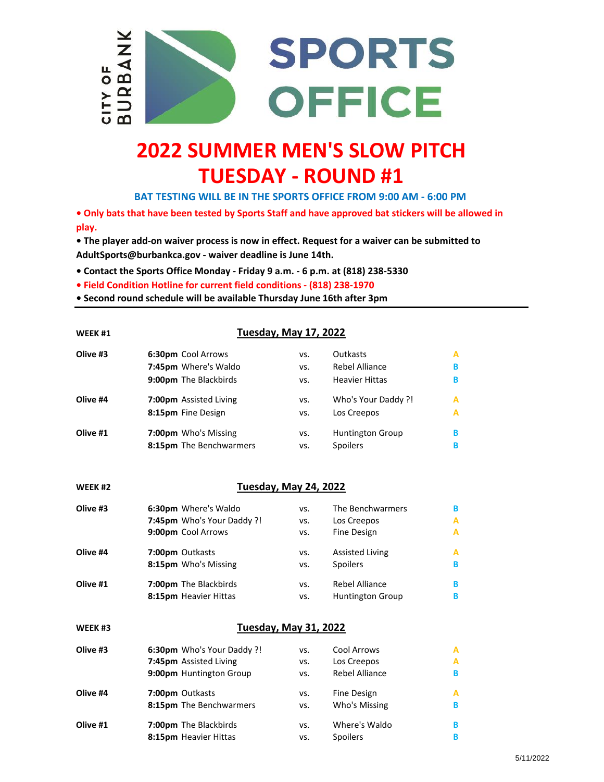

## **2022 SUMMER MEN'S SLOW PITCH TUESDAY - ROUND #1**

**BAT TESTING WILL BE IN THE SPORTS OFFICE FROM 9:00 AM - 6:00 PM** 

**• Only bats that have been tested by Sports Staff and have approved bat stickers will be allowed in play.**

**• The player add-on waiver process is now in effect. Request for a waiver can be submitted to AdultSports@burbankca.gov - waiver deadline is June 14th.**

**• Contact the Sports Office Monday - Friday 9 a.m. - 6 p.m. at (818) 238-5330**

**• Field Condition Hotline for current field conditions - (818) 238-1970**

**• Second round schedule will be available Thursday June 16th after 3pm**

| WEEK #1            | <b>Tuesday, May 17, 2022</b> |     |                         |   |  |
|--------------------|------------------------------|-----|-------------------------|---|--|
| Olive #3           | 6:30pm Cool Arrows           | VS. | Outkasts                | А |  |
|                    | 7:45pm Where's Waldo         | VS. | <b>Rebel Alliance</b>   | В |  |
|                    | 9:00pm The Blackbirds        | VS. | <b>Heavier Hittas</b>   | В |  |
| Olive #4           | 7:00pm Assisted Living       | VS. | Who's Your Daddy ?!     | A |  |
|                    | 8:15pm Fine Design           | VS. | Los Creepos             | A |  |
| Olive #1           | 7:00pm Who's Missing         | VS. | <b>Huntington Group</b> | В |  |
|                    | 8:15pm The Benchwarmers      | VS. | Spoilers                | в |  |
|                    |                              |     |                         |   |  |
| WEEK <sub>#2</sub> | <b>Tuesday, May 24, 2022</b> |     |                         |   |  |
| Olive #3           | 6:30pm Where's Waldo         | VS. | The Benchwarmers        | В |  |
|                    | 7:45pm Who's Your Daddy ?!   | VS. | Los Creepos             | A |  |
|                    | 9:00pm Cool Arrows           | VS. | Fine Design             | A |  |
| Olive #4           | 7:00pm Outkasts              | VS. | <b>Assisted Living</b>  | А |  |
|                    | 8:15pm Who's Missing         | VS. | Spoilers                | в |  |
| Olive #1           | 7:00pm The Blackbirds        | VS. | Rebel Alliance          | В |  |
|                    | 8:15pm Heavier Hittas        | VS. | Huntington Group        | в |  |
| WEEK #3            | <b>Tuesday, May 31, 2022</b> |     |                         |   |  |
| Olive #3           | 6:30pm Who's Your Daddy ?!   | VS. | Cool Arrows             | A |  |
|                    | 7:45pm Assisted Living       | VS. | Los Creepos             | A |  |
|                    | 9:00pm Huntington Group      | VS. | <b>Rebel Alliance</b>   | в |  |
| Olive #4           | 7:00pm Outkasts              | VS. | Fine Design             | А |  |
|                    | 8:15pm The Benchwarmers      | VS. | Who's Missing           | В |  |
| Olive #1           | 7:00pm The Blackbirds        | VS. | Where's Waldo           | в |  |
|                    | 8:15pm Heavier Hittas        | VS. | Spoilers                | В |  |